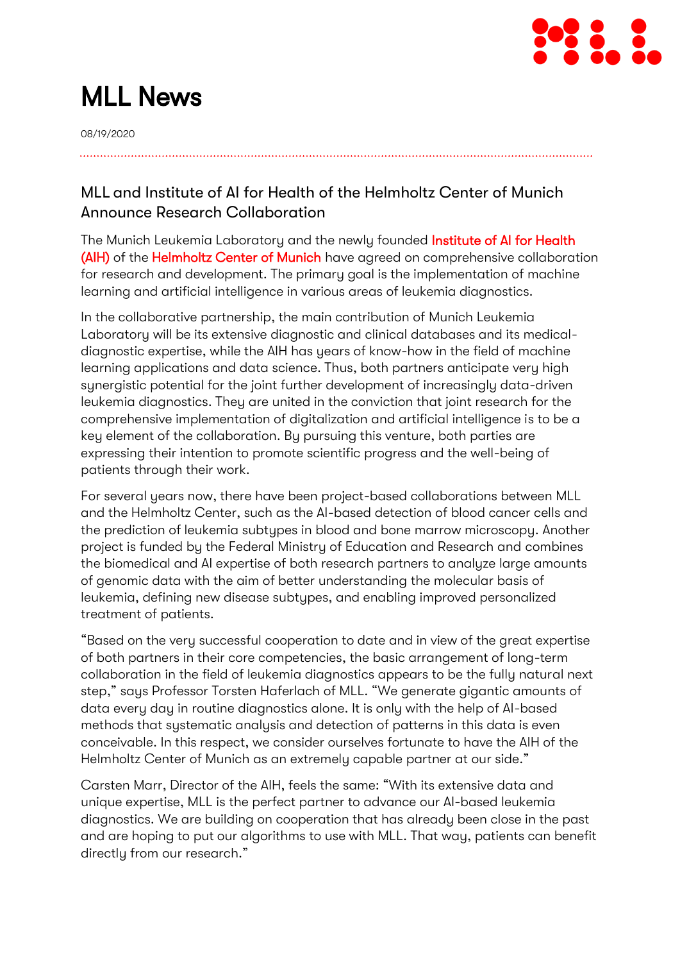

# MLL News

08/19/2020

### MLL and Institute of AI for Health of the Helmholtz Center of Munich Announce Research Collaboration

The Munich Leukemia Laboratory and the newly founded Institute of AI for Health [\(AIH\)](https://www.helmholtz-muenchen.de/aih/index.html) of the [Helmholtz Center of Munich](https://www.helmholtz-muenchen.de/en/helmholtz-zentrum-muenchen/index.html) have agreed on comprehensive collaboration for research and development. The primary goal is the implementation of machine learning and artificial intelligence in various areas of leukemia diagnostics.

In the collaborative partnership, the main contribution of Munich Leukemia Laboratory will be its extensive diagnostic and clinical databases and its medicaldiagnostic expertise, while the AIH has years of know-how in the field of machine learning applications and data science. Thus, both partners anticipate very high synergistic potential for the joint further development of increasingly data-driven leukemia diagnostics. They are united in the conviction that joint research for the comprehensive implementation of digitalization and artificial intelligence is to be a key element of the collaboration. By pursuing this venture, both parties are expressing their intention to promote scientific progress and the well-being of patients through their work.

For several years now, there have been project-based collaborations between MLL and the Helmholtz Center, such as the AI-based detection of blood cancer cells and the prediction of leukemia subtypes in blood and bone marrow microscopy. Another project is funded by the Federal Ministry of Education and Research and combines the biomedical and AI expertise of both research partners to analyze large amounts of genomic data with the aim of better understanding the molecular basis of leukemia, defining new disease subtypes, and enabling improved personalized treatment of patients.

"Based on the very successful cooperation to date and in view of the great expertise of both partners in their core competencies, the basic arrangement of long-term collaboration in the field of leukemia diagnostics appears to be the fully natural next step," says Professor Torsten Haferlach of MLL. "We generate gigantic amounts of data every day in routine diagnostics alone. It is only with the help of AI-based methods that systematic analysis and detection of patterns in this data is even conceivable. In this respect, we consider ourselves fortunate to have the AIH of the Helmholtz Center of Munich as an extremely capable partner at our side."

Carsten Marr, Director of the AIH, feels the same: "With its extensive data and unique expertise, MLL is the perfect partner to advance our AI-based leukemia diagnostics. We are building on cooperation that has already been close in the past and are hoping to put our algorithms to use with MLL. That way, patients can benefit directly from our research."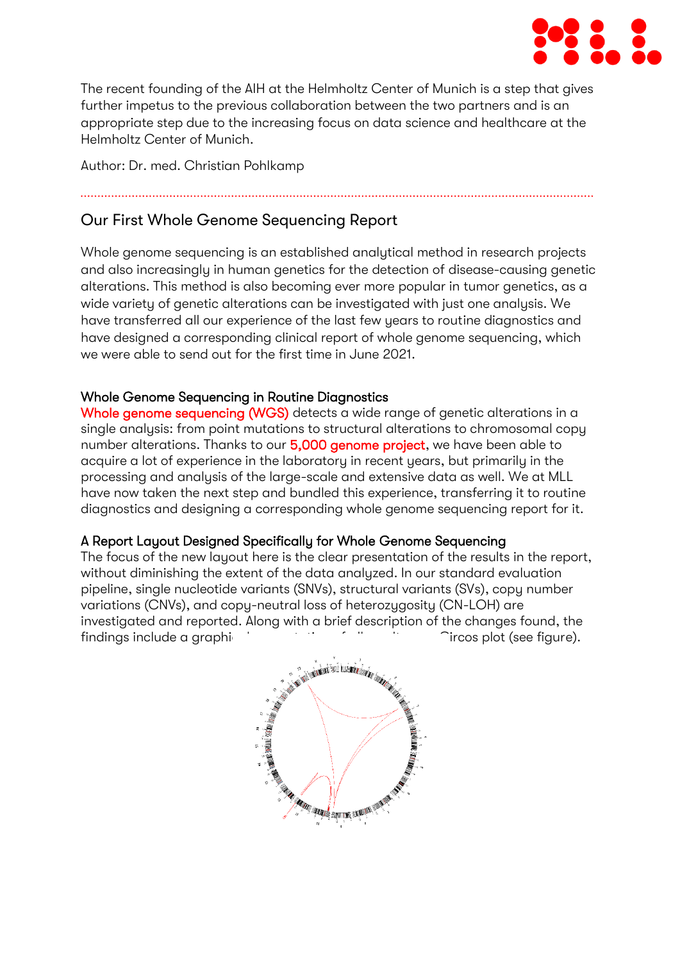

The recent founding of the AIH at the Helmholtz Center of Munich is a step that gives further impetus to the previous collaboration between the two partners and is an appropriate step due to the increasing focus on data science and healthcare at the Helmholtz Center of Munich.

Author: Dr. med. Christian Pohlkamp

### Our First Whole Genome Sequencing Report

Whole genome sequencing is an established analytical method in research projects and also increasingly in human genetics for the detection of disease-causing genetic alterations. This method is also becoming ever more popular in tumor genetics, as a wide variety of genetic alterations can be investigated with just one analysis. We have transferred all our experience of the last few years to routine diagnostics and have designed a corresponding clinical report of whole genome sequencing, which we were able to send out for the first time in June 2021.

#### Whole Genome Sequencing in Routine Diagnostics

[Whole genome sequencing \(WGS\)](https://www.mll.com/wissenschaft/diagnostik-der-zukunft.html) detects a wide range of genetic alterations in a single analysis: from point mutations to structural alterations to chromosomal copy number alterations. Thanks to our [5,000 genome project,](https://www.mll.com/wissenschaft/5000-genom-projekt.html) we have been able to acquire a lot of experience in the laboratory in recent years, but primarily in the processing and analysis of the large-scale and extensive data as well. We at MLL have now taken the next step and bundled this experience, transferring it to routine diagnostics and designing a corresponding whole genome sequencing report for it.

#### A Report Layout Designed Specifically for Whole Genome Sequencing

The focus of the new layout here is the clear presentation of the results in the report, without diminishing the extent of the data analyzed. In our standard evaluation pipeline, single nucleotide variants (SNVs), structural variants (SVs), copy number variations (CNVs), and copy-neutral loss of heterozygosity (CN-LOH) are investigated and reported. Along with a brief description of the changes found, the findings include a graphical presentation of all results as a Circos plot (see figure).

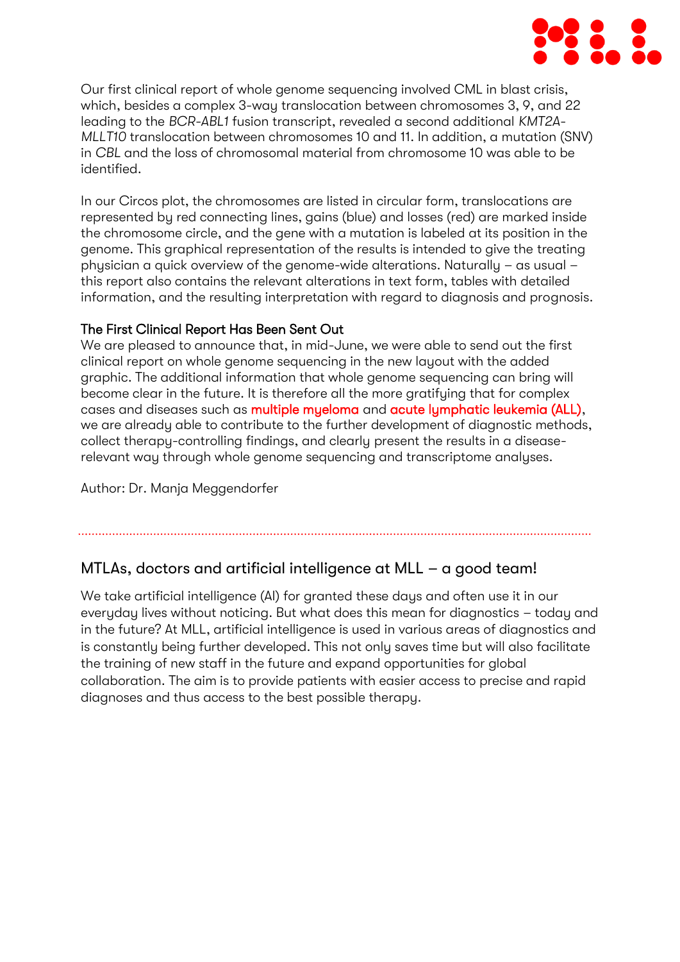

Our first clinical report of whole genome sequencing involved CML in blast crisis, which, besides a complex 3-way translocation between chromosomes 3, 9, and 22 leading to the *BCR-ABL1* fusion transcript, revealed a second additional *KMT2A-MLLT10* translocation between chromosomes 10 and 11. In addition, a mutation (SNV) in *CBL* and the loss of chromosomal material from chromosome 10 was able to be identified.

In our Circos plot, the chromosomes are listed in circular form, translocations are represented by red connecting lines, gains (blue) and losses (red) are marked inside the chromosome circle, and the gene with a mutation is labeled at its position in the genome. This graphical representation of the results is intended to give the treating physician a quick overview of the genome-wide alterations. Naturally – as usual – this report also contains the relevant alterations in text form, tables with detailed information, and the resulting interpretation with regard to diagnosis and prognosis.

#### The First Clinical Report Has Been Sent Out

We are pleased to announce that, in mid-June, we were able to send out the first clinical report on whole genome sequencing in the new layout with the added graphic. The additional information that whole genome sequencing can bring will become clear in the future. It is therefore all the more gratifying that for complex cases and diseases such as [multiple myeloma](https://www.mll.com/erkrankungendiagnostik/plasmazellneoplasien/multiples-myelom.html) and [acute lymphatic leukemia \(ALL\),](https://www.mll.com/erkrankungendiagnostik/akute-lymphatische-leukaemie-all/akute-lymphatische-leukaemie-all.html) we are already able to contribute to the further development of diagnostic methods, collect therapy-controlling findings, and clearly present the results in a diseaserelevant way through whole genome sequencing and transcriptome analyses.

Author: Dr. Manja Meggendorfer

## MTLAs, doctors and artificial intelligence at MLL – a good team!

We take artificial intelligence (AI) for granted these days and often use it in our everyday lives without noticing. But what does this mean for diagnostics – today and in the future? At MLL, artificial intelligence is used in various areas of diagnostics and is constantly being further developed. This not only saves time but will also facilitate the training of new staff in the future and expand opportunities for global collaboration. The aim is to provide patients with easier access to precise and rapid diagnoses and thus access to the best possible therapy.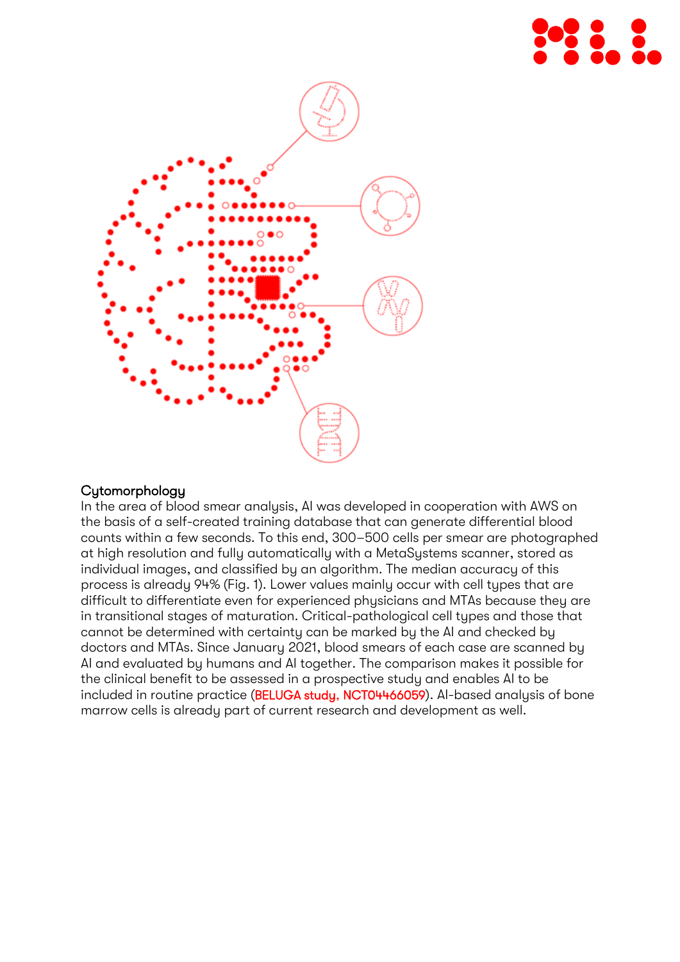



#### **Cytomorphology**

In the area of blood smear analysis, AI was developed in cooperation with AWS on the basis of a self-created training database that can generate differential blood counts within a few seconds. To this end, 300–500 cells per smear are photographed at high resolution and fully automatically with a MetaSystems scanner, stored as individual images, and classified by an algorithm. The median accuracy of this process is already 94% (Fig. 1). Lower values mainly occur with cell types that are difficult to differentiate even for experienced physicians and MTAs because they are in transitional stages of maturation. Critical-pathological cell types and those that cannot be determined with certainty can be marked by the AI and checked by doctors and MTAs. Since January 2021, blood smears of each case are scanned by AI and evaluated by humans and AI together. The comparison makes it possible for the clinical benefit to be assessed in a prospective study and enables AI to be included in routine practice ([BELUGA study](https://www.mll.com/aktuelles/magazin/mll-aktuell/automation-kuenstliche-intelligenz/beluga-eine-prospektive-registrierte-studie-ueber-den-einsatz-von-ki-in-der-haematologie.html), [NCT04466059](https://clinicaltrials.gov/ct2/show/NCT04466059)). AI-based analysis of bone marrow cells is already part of current research and development as well.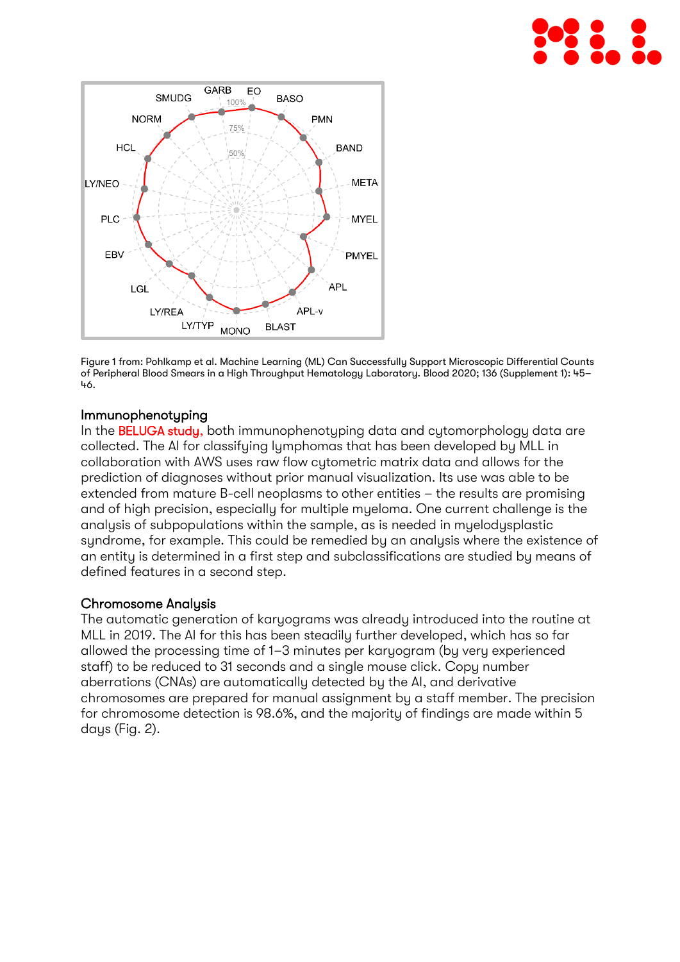

Figure 1 from: Pohlkamp et al. Machine Learning (ML) Can Successfully Support Microscopic Differential Counts of Peripheral Blood Smears in a High Throughput Hematology Laboratory. Blood 2020; 136 (Supplement 1): 45– 46.

#### Immunophenotyping

In the [BELUGA study](https://www.mll.com/aktuelles/magazin/mll-aktuell/automation-kuenstliche-intelligenz/beluga-eine-prospektive-registrierte-studie-ueber-den-einsatz-von-ki-in-der-haematologie.html), both immunophenotyping data and cytomorphology data are collected. The AI for classifying lymphomas that has been developed by MLL in collaboration with AWS uses raw flow cytometric matrix data and allows for the prediction of diagnoses without prior manual visualization. Its use was able to be extended from mature B-cell neoplasms to other entities – the results are promising and of high precision, especially for multiple myeloma. One current challenge is the analysis of subpopulations within the sample, as is needed in myelodysplastic syndrome, for example. This could be remedied by an analysis where the existence of an entity is determined in a first step and subclassifications are studied by means of defined features in a second step.

#### Chromosome Analysis

The automatic generation of karyograms was already introduced into the routine at MLL in 2019. The AI for this has been steadily further developed, which has so far allowed the processing time of 1–3 minutes per karyogram (by very experienced staff) to be reduced to 31 seconds and a single mouse click. Copy number aberrations (CNAs) are automatically detected by the AI, and derivative chromosomes are prepared for manual assignment by a staff member. The precision for chromosome detection is 98.6%, and the majority of findings are made within 5 days (Fig. 2).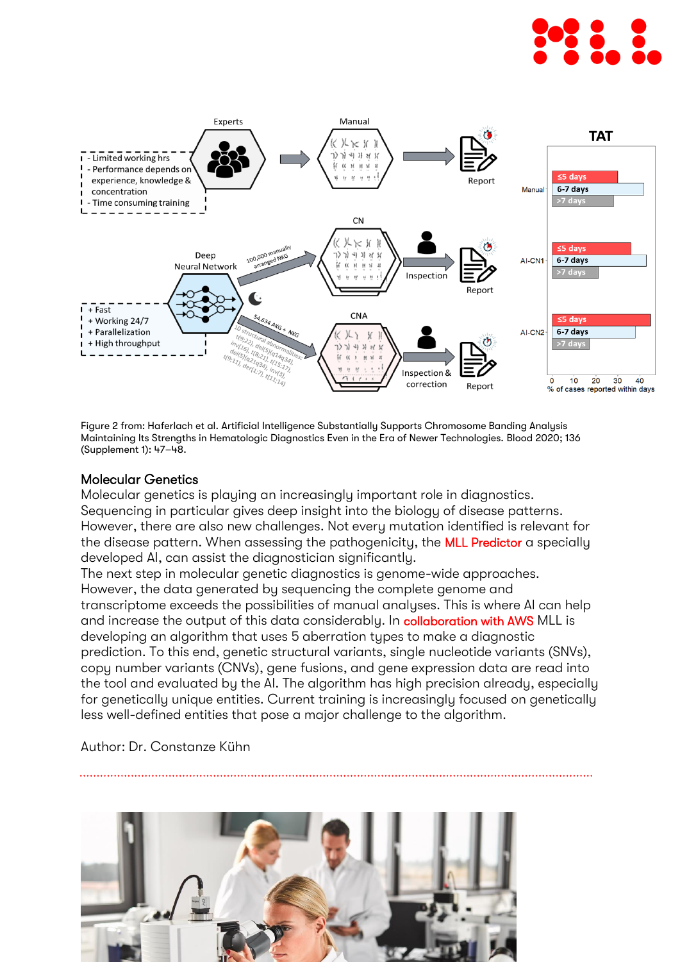



Figure 2 from: Haferlach et al. Artificial Intelligence Substantially Supports Chromosome Banding Analysis Maintaining Its Strengths in Hematologic Diagnostics Even in the Era of Newer Technologies. Blood 2020; 136 (Supplement 1): 47–48.

#### Molecular Genetics

Molecular genetics is playing an increasingly important role in diagnostics. Sequencing in particular gives deep insight into the biology of disease patterns. However, there are also new challenges. Not every mutation identified is relevant for the disease pattern. When assessing the pathogenicity, the **[MLL Predictor](https://mlli.com/)** a specially developed AI, can assist the diagnostician significantly.

The next step in molecular genetic diagnostics is genome-wide approaches. However, the data generated by sequencing the complete genome and transcriptome exceeds the possibilities of manual analyses. This is where AI can help and increase the output of this data considerably. In [collaboration with AWS](https://aws.amazon.com/de/blogs/industries/machine-learning-leukemia-diagnosis-at-munich-leukemia-lab-with-amazon-sagemaker/) MLL is developing an algorithm that uses 5 aberration types to make a diagnostic prediction. To this end, genetic structural variants, single nucleotide variants (SNVs), copy number variants (CNVs), gene fusions, and gene expression data are read into the tool and evaluated by the AI. The algorithm has high precision already, especially for genetically unique entities. Current training is increasingly focused on genetically less well-defined entities that pose a major challenge to the algorithm.

Author: Dr. Constanze Kühn

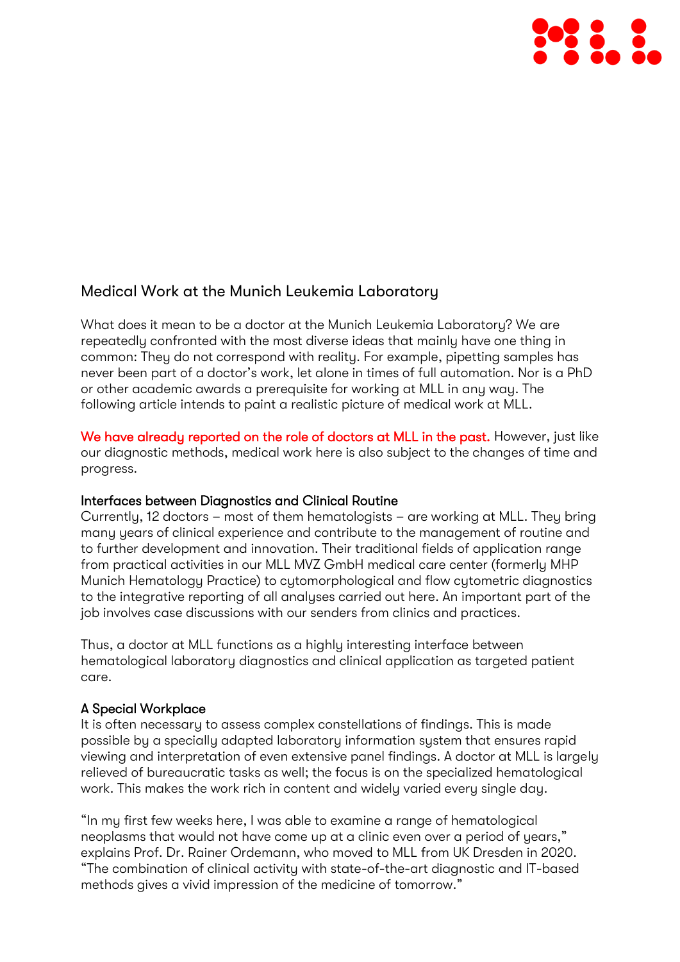

#### Medical Work at the Munich Leukemia Laboratory

What does it mean to be a doctor at the Munich Leukemia Laboratory? We are repeatedly confronted with the most diverse ideas that mainly have one thing in common: They do not correspond with reality. For example, pipetting samples has never been part of a doctor's work, let alone in times of full automation. Nor is a PhD or other academic awards a prerequisite for working at MLL in any way. The following article intends to paint a realistic picture of medical work at MLL.

[We have already reported on the role of doctors at MLL in the past.](https://www.mll.com/aktuelles/magazin/mll-aktuell/zusammen-diagnostik-weiterentwickeln-die-rolle-des-arztes-im-mll.html) However, just like our diagnostic methods, medical work here is also subject to the changes of time and progress.

#### Interfaces between Diagnostics and Clinical Routine

Currently, 12 doctors – most of them hematologists – are working at MLL. They bring many years of clinical experience and contribute to the management of routine and to further development and innovation. Their traditional fields of application range from practical activities in our MLL MVZ GmbH medical care center (formerly MHP Munich Hematology Practice) to cytomorphological and flow cytometric diagnostics to the integrative reporting of all analyses carried out here. An important part of the job involves case discussions with our senders from clinics and practices.

Thus, a doctor at MLL functions as a highly interesting interface between hematological laboratory diagnostics and clinical application as targeted patient care.

#### A Special Workplace

It is often necessary to assess complex constellations of findings. This is made possible by a specially adapted laboratory information system that ensures rapid viewing and interpretation of even extensive panel findings. A doctor at MLL is largely relieved of bureaucratic tasks as well; the focus is on the specialized hematological work. This makes the work rich in content and widely varied every single day.

"In my first few weeks here, I was able to examine a range of hematological neoplasms that would not have come up at a clinic even over a period of years," explains Prof. Dr. Rainer Ordemann, who moved to MLL from UK Dresden in 2020. "The combination of clinical activity with state-of-the-art diagnostic and IT-based methods gives a vivid impression of the medicine of tomorrow."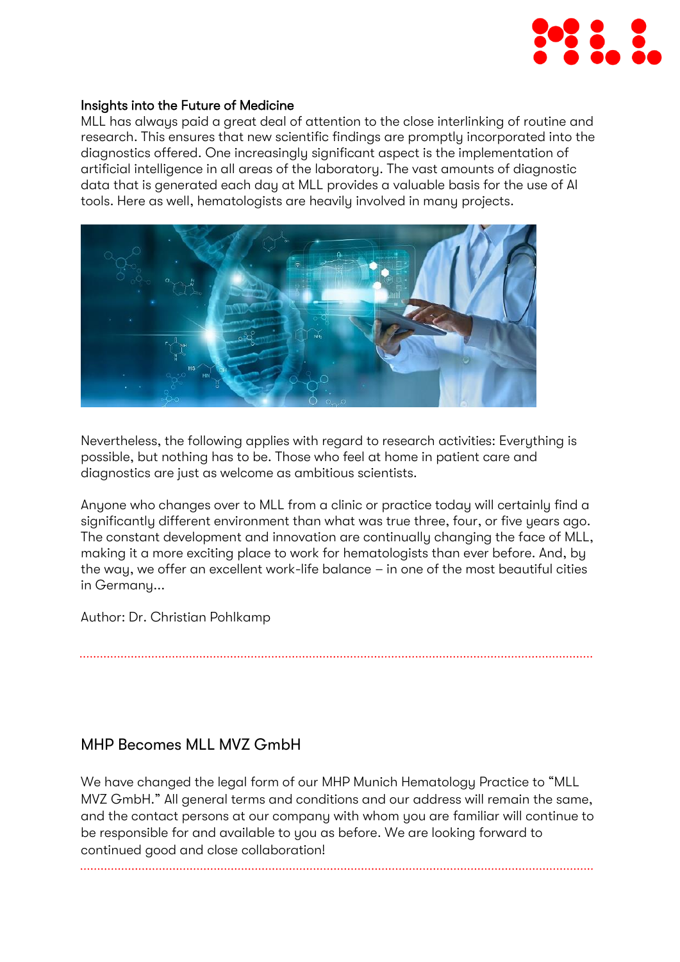

#### Insights into the Future of Medicine

MLL has always paid a great deal of attention to the close interlinking of routine and research. This ensures that new scientific findings are promptly incorporated into the diagnostics offered. One increasingly significant aspect is the implementation of artificial intelligence in all areas of the laboratory. The vast amounts of diagnostic data that is generated each day at MLL provides a valuable basis for the use of AI tools. Here as well, hematologists are heavily involved in many projects.



Nevertheless, the following applies with regard to research activities: Everything is possible, but nothing has to be. Those who feel at home in patient care and diagnostics are just as welcome as ambitious scientists.

Anyone who changes over to MLL from a clinic or practice today will certainly find a significantly different environment than what was true three, four, or five years ago. The constant development and innovation are continually changing the face of MLL, making it a more exciting place to work for hematologists than ever before. And, by the way, we offer an excellent work-life balance – in one of the most beautiful cities in Germany...

Author: Dr. Christian Pohlkamp

#### MHP Becomes MLL MVZ GmbH

We have changed the legal form of our MHP Munich Hematology Practice to "MLL MVZ GmbH." All general terms and conditions and our address will remain the same, and the contact persons at our company with whom you are familiar will continue to be responsible for and available to you as before. We are looking forward to continued good and close collaboration!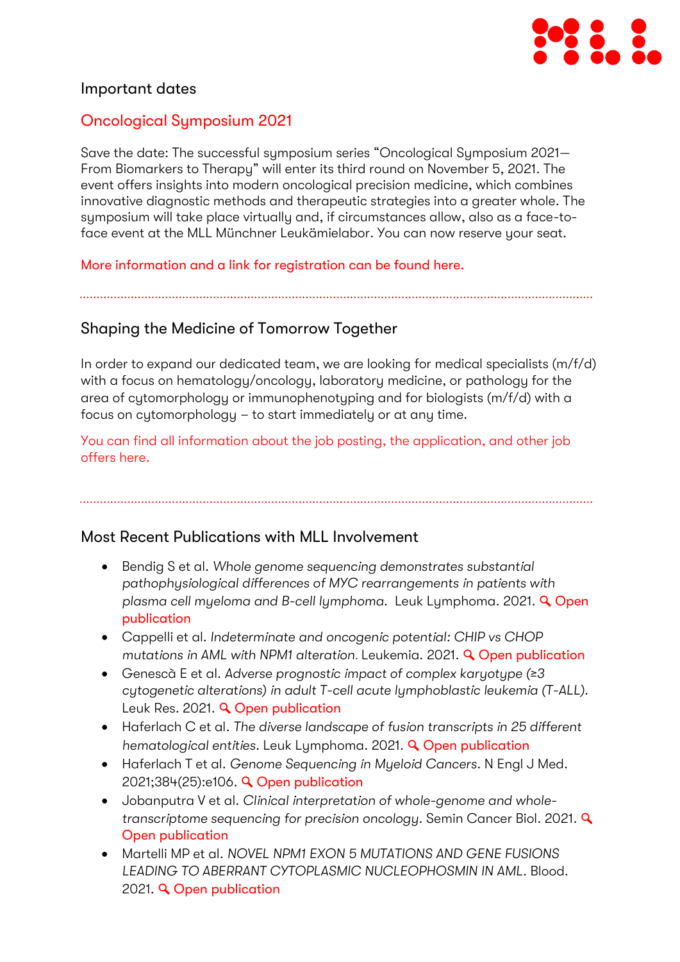

#### Important dates

#### Oncological Symposium 2021

Save the date: The successful symposium series "Oncological Symposium 2021— From Biomarkers to Therapy" will enter its third round on November 5, 2021. The event offers insights into modern oncological precision medicine, which combines innovative diagnostic methods and therapeutic strategies into a greater whole. The symposium will take place virtually and, if circumstances allow, also as a face-toface event at the MLL Münchner Leukämielabor. You can now reserve your seat.

[More information and a link for registration can be found here.](https://www.mll.com/en/news/event/translate-to-english-tag-der-offenen-tuer.html)

Shaping the Medicine of Tomorrow Together

In order to expand our dedicated team, we are looking for medical specialists (m/f/d) with a focus on hematology/oncology, laboratory medicine, or pathology for the area of cytomorphology or immunophenotyping and for biologists (m/f/d) with a focus on cytomorphology – to start immediately or at any time.

You can find all information about [the job posting, the application, and other job](https://www.mll.com/karriere.html)  [offers here.](https://www.mll.com/karriere.html)

#### Most Recent Publications with MLL Involvement

- Bendig S et al. *Whole genome sequencing demonstrates substantial pathophysiological differences of MYC rearrangements in patients with*  plasma cell myeloma and B-cell lymphoma. Leuk Lymphoma. 2021. **Q Open** [publication](https://pubmed.ncbi.nlm.nih.gov/34380369/)
- Cappelli et al. *Indeterminate and oncogenic potential: CHIP vs CHOP mutations in AML with NPM1 alteration.* Leukemia. 2021. **Q [Open publication](https://pubmed.ncbi.nlm.nih.gov/34376804/)**
- Genescà E et al. *Adverse prognostic impact of complex karyotype (≥3 cytogenetic alterations) in adult T-cell acute lymphoblastic leukemia (T-ALL)*. Leuk Res. 2021. **Q [Open publication](https://pubmed.ncbi.nlm.nih.gov/34139642/)**
- Haferlach C et al*. The diverse landscape of fusion transcripts in 25 different hematological entities*. Leuk Lymphoma. 2021. **Q [Open publication](https://pubmed.ncbi.nlm.nih.gov/34282718/)**
- Haferlach T et al. *Genome Sequencing in Myeloid Cancers*. N Engl J Med. 2021;384(25):e106. **Q [Open publication](https://pubmed.ncbi.nlm.nih.gov/34161717/)**
- Jobanputra V et al. *Clinical interpretation of whole-genome and wholetranscriptome sequencing for precision oncology*. Semin Cancer Biol. 2021. [Open publication](https://pubmed.ncbi.nlm.nih.gov/34256129/)
- Martelli MP et al. *NOVEL NPM1 EXON 5 MUTATIONS AND GENE FUSIONS LEADING TO ABERRANT CYTOPLASMIC NUCLEOPHOSMIN IN AML*. Blood. 2021. **Q** [Open publication](https://pubmed.ncbi.nlm.nih.gov/34343258/)